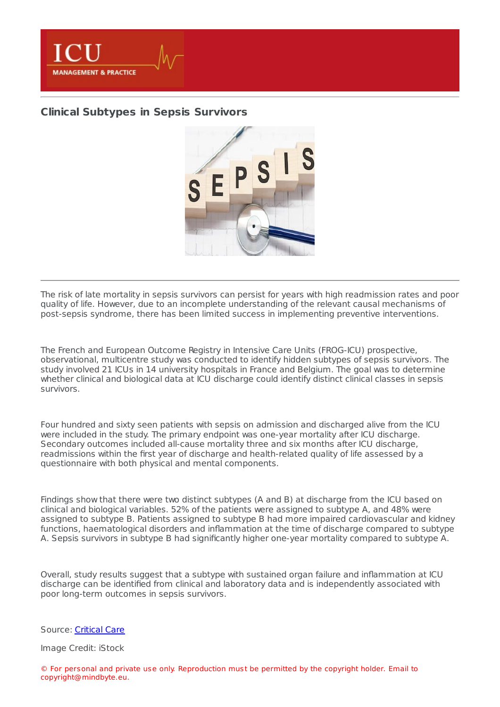

## **Clinical [Subtypes](https://healthmanagement.org/s/clinical-subtypes-in-sepsis-survivors) in Sepsis Survivors**



The risk of late mortality in sepsis survivors can persist for years with high readmission rates and poor quality of life. However, due to an incomplete understanding of the relevant causal mechanisms of post-sepsis syndrome, there has been limited success in implementing preventive interventions.

The French and European Outcome Registry in Intensive Care Units (FROG-ICU) prospective, observational, multicentre study was conducted to identify hidden subtypes of sepsis survivors. The study involved 21 ICUs in 14 university hospitals in France and Belgium. The goal was to determine whether clinical and biological data at ICU discharge could identify distinct clinical classes in sepsis survivors.

Four hundred and sixty seen patients with sepsis on admission and discharged alive from the ICU were included in the study. The primary endpoint was one-year mortality after ICU discharge. Secondary outcomes included all-cause mortality three and six months after ICU discharge, readmissions within the first year of discharge and health-related quality of life assessed by a questionnaire with both physical and mental components.

Findings show that there were two distinct subtypes (A and B) at discharge from the ICU based on clinical and biological variables. 52% of the patients were assigned to subtype A, and 48% were assigned to subtype B. Patients assigned to subtype B had more impaired cardiovascular and kidney functions, haematological disorders and inflammation at the time of discharge compared to subtype A. Sepsis survivors in subtype B had significantly higher one-year mortality compared to subtype A.

Overall, study results suggest that a subtype with sustained organ failure and inflammation at ICU discharge can be identified from clinical and laboratory data and is independently associated with poor long-term outcomes in sepsis survivors.

Source: [Critical](https://ccforum.biomedcentral.com/articles/10.1186/s13054-022-03972-8) Care

Image Credit: iStock

© For personal and private use only. Reproduction must be permitted by the copyright holder. Email to copyright@mindbyte.eu.